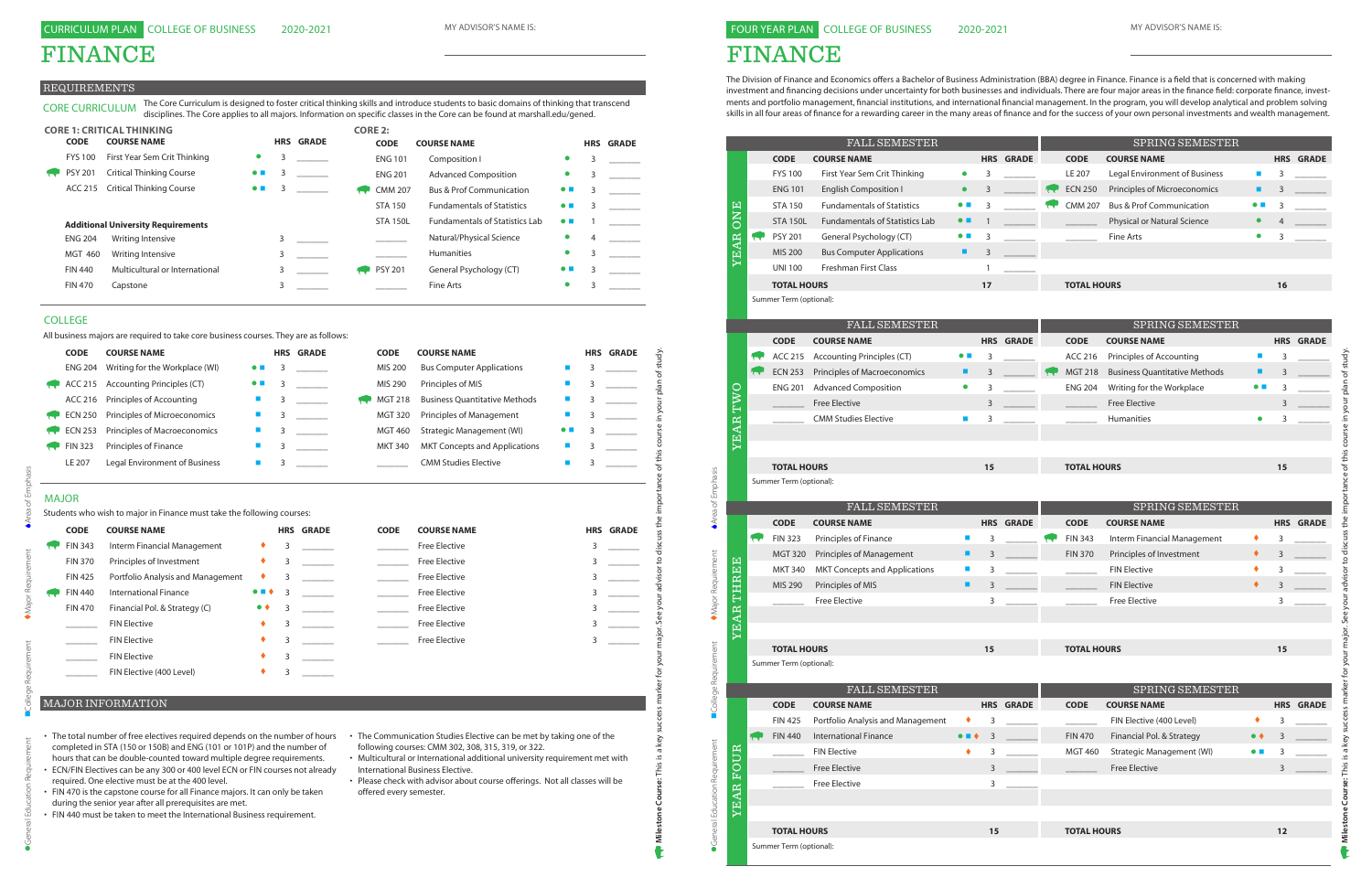### FINANCE

## FOUR YEAR PLAN COLLEGE OF BUSINESS

The Division of Finance and Economics offers a Bachelor of Business Administration (BBA) degree in Finance. Finance is a field that is concerned with making investment and financing decisions under uncertainty for both businesses and individuals. There are four major areas in the finance field: corporate finance, investments and portfolio management, financial institutions, and international financial management. In the program, you will develop analytical and problem solving skills in all four areas of finance for a rewarding career in the many areas of finance and for the success of your own personal investments and wealth management.

| <b>CODE</b><br><b>COURSE NAME</b><br><b>HRS GRADE</b><br><b>CODE</b><br><b>COURSE NAME</b><br><b>FYS 100</b><br>First Year Sem Crit Thinking<br>3<br>LE 207<br>Legal Environment of Business<br>п<br>$\bullet$<br>3<br><b>ENG 101</b><br><b>English Composition I</b><br>3<br><b>ECN 250</b><br>Principles of Microeconomics<br>$\bullet$<br>■<br>3<br><b>CMM 207</b><br><b>STA 150</b><br><b>Fundamentals of Statistics</b><br><b>Bus &amp; Prof Communication</b><br><b>ONE</b><br>3<br>$\bullet$ $\blacksquare$<br>$\bullet$ $\blacksquare$<br>3<br><b>Fundamentals of Statistics Lab</b><br>Physical or Natural Science<br><b>STA 150L</b><br>$\bullet$ $\blacksquare$<br>$\bullet$<br>$\mathbf{1}$<br>YEAR<br><b>PSY 201</b><br>General Psychology (CT)<br>Fine Arts<br>$\bullet$ $\blacksquare$<br>3<br>$\bullet$<br>3<br>₩<br>MIS 200<br><b>Bus Computer Applications</b><br>3<br>٠<br><b>UNI 100</b><br><b>Freshman First Class</b><br>1<br><b>TOTAL HOURS</b><br>17<br><b>TOTAL HOURS</b><br>16<br>Summer Term (optional):<br>FALL SEMESTER<br>SPRING SEMESTER<br><b>CODE</b><br><b>COURSE NAME</b><br><b>HRS GRADE</b><br><b>CODE</b><br><b>COURSE NAME</b><br><b>Accounting Principles (CT)</b><br>Principles of Accounting<br>$\mathcal{L}_{\mathcal{A}}$<br>ACC 215<br>$\bullet$ $\blacksquare$<br>3<br>ACC 216<br>3<br>w<br><b>ECN 253</b><br>Principles of Macroeconomics<br><b>Business Quantitative Methods</b><br>3<br><b>MGT 218</b><br>٠<br>п<br>3<br>र<br><b>Advanced Composition</b><br>Writing for the Workplace<br><b>ENG 201</b><br>$\bullet$<br>3<br><b>ENG 204</b><br>TWO<br>$\bullet$ $\blacksquare$<br>3<br><b>Free Elective</b><br><b>Free Elective</b><br>3<br>3<br><b>YEAR</b><br><b>CMM Studies Elective</b><br>Humanities<br>ш<br>3<br>$\bullet$<br>3<br><b>TOTAL HOURS</b><br><b>TOTAL HOURS</b><br>15<br>15<br>Summer Term (optional):<br><b>FALL SEMESTER</b><br>SPRING SEMESTER<br><b>HRS GRADE</b><br><b>CODE</b><br><b>CODE</b><br><b>COURSE NAME</b><br><b>COURSE NAME</b><br><b>FIN 323</b><br>Principles of Finance<br><b>FIN 343</b><br>Interm Financial Management<br><b>COL</b><br>$\mathcal{L}_{\mathcal{A}}$<br>3<br>٠<br>3<br>Principles of Investment<br>Principles of Management<br><b>FIN 370</b><br><b>MGT 320</b><br>٠<br>3<br>٠<br>3<br>THREE<br><b>MKT 340</b><br><b>MKT Concepts and Applications</b><br><b>FIN Elective</b><br>3<br>٠<br>3<br>$\blacksquare$<br>۰<br>Principles of MIS<br>٠<br><b>FIN Elective</b><br>MIS 290<br>3<br>3<br><b>Free Elective</b><br><b>Free Elective</b><br>3<br>3<br>AR <sub>1</sub><br>固<br>≻<br><b>TOTAL HOURS</b><br>15<br><b>TOTAL HOURS</b><br>15<br>Summer Term (optional):<br>FALL SEMESTER<br>SPRING SEMESTER<br><b>CODE</b><br><b>HRS GRADE</b><br><b>CODE</b><br><b>COURSE NAME</b><br><b>COURSE NAME</b><br>Portfolio Analysis and Management<br><b>FIN 425</b><br>FIN Elective (400 Level)<br>3<br>3<br><b>International Finance</b><br><b>FIN 440</b><br><b>FIN 470</b><br>Financial Pol. & Strategy<br>3<br>3<br><b>YEAR FOUR</b><br><b>FIN Elective</b><br>Strategic Management (WI)<br>٠<br>3<br><b>MGT 460</b><br>$\bullet$ $\blacksquare$<br>3<br><b>Free Elective</b><br><b>Free Elective</b><br>3<br>3<br><b>Free Elective</b><br>3<br><b>TOTAL HOURS</b><br>15<br><b>TOTAL HOURS</b><br>12 |  | <b>FALL SEMESTER</b> |  |  | SPRING SEMESTER |                  |
|-----------------------------------------------------------------------------------------------------------------------------------------------------------------------------------------------------------------------------------------------------------------------------------------------------------------------------------------------------------------------------------------------------------------------------------------------------------------------------------------------------------------------------------------------------------------------------------------------------------------------------------------------------------------------------------------------------------------------------------------------------------------------------------------------------------------------------------------------------------------------------------------------------------------------------------------------------------------------------------------------------------------------------------------------------------------------------------------------------------------------------------------------------------------------------------------------------------------------------------------------------------------------------------------------------------------------------------------------------------------------------------------------------------------------------------------------------------------------------------------------------------------------------------------------------------------------------------------------------------------------------------------------------------------------------------------------------------------------------------------------------------------------------------------------------------------------------------------------------------------------------------------------------------------------------------------------------------------------------------------------------------------------------------------------------------------------------------------------------------------------------------------------------------------------------------------------------------------------------------------------------------------------------------------------------------------------------------------------------------------------------------------------------------------------------------------------------------------------------------------------------------------------------------------------------------------------------------------------------------------------------------------------------------------------------------------------------------------------------------------------------------------------------------------------------------------------------------------------------------------------------------------------------------------------------------------------------------------------------------------------------------------------------------------------------------------------------------------------------------------------------------------------------------------------------------------------------------------------------------------------------------------------------------------------------------|--|----------------------|--|--|-----------------|------------------|
|                                                                                                                                                                                                                                                                                                                                                                                                                                                                                                                                                                                                                                                                                                                                                                                                                                                                                                                                                                                                                                                                                                                                                                                                                                                                                                                                                                                                                                                                                                                                                                                                                                                                                                                                                                                                                                                                                                                                                                                                                                                                                                                                                                                                                                                                                                                                                                                                                                                                                                                                                                                                                                                                                                                                                                                                                                                                                                                                                                                                                                                                                                                                                                                                                                                                                                           |  |                      |  |  |                 | <b>HRS GRADE</b> |
|                                                                                                                                                                                                                                                                                                                                                                                                                                                                                                                                                                                                                                                                                                                                                                                                                                                                                                                                                                                                                                                                                                                                                                                                                                                                                                                                                                                                                                                                                                                                                                                                                                                                                                                                                                                                                                                                                                                                                                                                                                                                                                                                                                                                                                                                                                                                                                                                                                                                                                                                                                                                                                                                                                                                                                                                                                                                                                                                                                                                                                                                                                                                                                                                                                                                                                           |  |                      |  |  |                 |                  |
|                                                                                                                                                                                                                                                                                                                                                                                                                                                                                                                                                                                                                                                                                                                                                                                                                                                                                                                                                                                                                                                                                                                                                                                                                                                                                                                                                                                                                                                                                                                                                                                                                                                                                                                                                                                                                                                                                                                                                                                                                                                                                                                                                                                                                                                                                                                                                                                                                                                                                                                                                                                                                                                                                                                                                                                                                                                                                                                                                                                                                                                                                                                                                                                                                                                                                                           |  |                      |  |  |                 |                  |
|                                                                                                                                                                                                                                                                                                                                                                                                                                                                                                                                                                                                                                                                                                                                                                                                                                                                                                                                                                                                                                                                                                                                                                                                                                                                                                                                                                                                                                                                                                                                                                                                                                                                                                                                                                                                                                                                                                                                                                                                                                                                                                                                                                                                                                                                                                                                                                                                                                                                                                                                                                                                                                                                                                                                                                                                                                                                                                                                                                                                                                                                                                                                                                                                                                                                                                           |  |                      |  |  |                 |                  |
|                                                                                                                                                                                                                                                                                                                                                                                                                                                                                                                                                                                                                                                                                                                                                                                                                                                                                                                                                                                                                                                                                                                                                                                                                                                                                                                                                                                                                                                                                                                                                                                                                                                                                                                                                                                                                                                                                                                                                                                                                                                                                                                                                                                                                                                                                                                                                                                                                                                                                                                                                                                                                                                                                                                                                                                                                                                                                                                                                                                                                                                                                                                                                                                                                                                                                                           |  |                      |  |  |                 |                  |
|                                                                                                                                                                                                                                                                                                                                                                                                                                                                                                                                                                                                                                                                                                                                                                                                                                                                                                                                                                                                                                                                                                                                                                                                                                                                                                                                                                                                                                                                                                                                                                                                                                                                                                                                                                                                                                                                                                                                                                                                                                                                                                                                                                                                                                                                                                                                                                                                                                                                                                                                                                                                                                                                                                                                                                                                                                                                                                                                                                                                                                                                                                                                                                                                                                                                                                           |  |                      |  |  |                 |                  |
|                                                                                                                                                                                                                                                                                                                                                                                                                                                                                                                                                                                                                                                                                                                                                                                                                                                                                                                                                                                                                                                                                                                                                                                                                                                                                                                                                                                                                                                                                                                                                                                                                                                                                                                                                                                                                                                                                                                                                                                                                                                                                                                                                                                                                                                                                                                                                                                                                                                                                                                                                                                                                                                                                                                                                                                                                                                                                                                                                                                                                                                                                                                                                                                                                                                                                                           |  |                      |  |  |                 |                  |
|                                                                                                                                                                                                                                                                                                                                                                                                                                                                                                                                                                                                                                                                                                                                                                                                                                                                                                                                                                                                                                                                                                                                                                                                                                                                                                                                                                                                                                                                                                                                                                                                                                                                                                                                                                                                                                                                                                                                                                                                                                                                                                                                                                                                                                                                                                                                                                                                                                                                                                                                                                                                                                                                                                                                                                                                                                                                                                                                                                                                                                                                                                                                                                                                                                                                                                           |  |                      |  |  |                 |                  |
|                                                                                                                                                                                                                                                                                                                                                                                                                                                                                                                                                                                                                                                                                                                                                                                                                                                                                                                                                                                                                                                                                                                                                                                                                                                                                                                                                                                                                                                                                                                                                                                                                                                                                                                                                                                                                                                                                                                                                                                                                                                                                                                                                                                                                                                                                                                                                                                                                                                                                                                                                                                                                                                                                                                                                                                                                                                                                                                                                                                                                                                                                                                                                                                                                                                                                                           |  |                      |  |  |                 |                  |
|                                                                                                                                                                                                                                                                                                                                                                                                                                                                                                                                                                                                                                                                                                                                                                                                                                                                                                                                                                                                                                                                                                                                                                                                                                                                                                                                                                                                                                                                                                                                                                                                                                                                                                                                                                                                                                                                                                                                                                                                                                                                                                                                                                                                                                                                                                                                                                                                                                                                                                                                                                                                                                                                                                                                                                                                                                                                                                                                                                                                                                                                                                                                                                                                                                                                                                           |  |                      |  |  |                 |                  |
|                                                                                                                                                                                                                                                                                                                                                                                                                                                                                                                                                                                                                                                                                                                                                                                                                                                                                                                                                                                                                                                                                                                                                                                                                                                                                                                                                                                                                                                                                                                                                                                                                                                                                                                                                                                                                                                                                                                                                                                                                                                                                                                                                                                                                                                                                                                                                                                                                                                                                                                                                                                                                                                                                                                                                                                                                                                                                                                                                                                                                                                                                                                                                                                                                                                                                                           |  |                      |  |  |                 |                  |
|                                                                                                                                                                                                                                                                                                                                                                                                                                                                                                                                                                                                                                                                                                                                                                                                                                                                                                                                                                                                                                                                                                                                                                                                                                                                                                                                                                                                                                                                                                                                                                                                                                                                                                                                                                                                                                                                                                                                                                                                                                                                                                                                                                                                                                                                                                                                                                                                                                                                                                                                                                                                                                                                                                                                                                                                                                                                                                                                                                                                                                                                                                                                                                                                                                                                                                           |  |                      |  |  |                 | <b>HRS GRADE</b> |
|                                                                                                                                                                                                                                                                                                                                                                                                                                                                                                                                                                                                                                                                                                                                                                                                                                                                                                                                                                                                                                                                                                                                                                                                                                                                                                                                                                                                                                                                                                                                                                                                                                                                                                                                                                                                                                                                                                                                                                                                                                                                                                                                                                                                                                                                                                                                                                                                                                                                                                                                                                                                                                                                                                                                                                                                                                                                                                                                                                                                                                                                                                                                                                                                                                                                                                           |  |                      |  |  |                 |                  |
|                                                                                                                                                                                                                                                                                                                                                                                                                                                                                                                                                                                                                                                                                                                                                                                                                                                                                                                                                                                                                                                                                                                                                                                                                                                                                                                                                                                                                                                                                                                                                                                                                                                                                                                                                                                                                                                                                                                                                                                                                                                                                                                                                                                                                                                                                                                                                                                                                                                                                                                                                                                                                                                                                                                                                                                                                                                                                                                                                                                                                                                                                                                                                                                                                                                                                                           |  |                      |  |  |                 |                  |
|                                                                                                                                                                                                                                                                                                                                                                                                                                                                                                                                                                                                                                                                                                                                                                                                                                                                                                                                                                                                                                                                                                                                                                                                                                                                                                                                                                                                                                                                                                                                                                                                                                                                                                                                                                                                                                                                                                                                                                                                                                                                                                                                                                                                                                                                                                                                                                                                                                                                                                                                                                                                                                                                                                                                                                                                                                                                                                                                                                                                                                                                                                                                                                                                                                                                                                           |  |                      |  |  |                 |                  |
|                                                                                                                                                                                                                                                                                                                                                                                                                                                                                                                                                                                                                                                                                                                                                                                                                                                                                                                                                                                                                                                                                                                                                                                                                                                                                                                                                                                                                                                                                                                                                                                                                                                                                                                                                                                                                                                                                                                                                                                                                                                                                                                                                                                                                                                                                                                                                                                                                                                                                                                                                                                                                                                                                                                                                                                                                                                                                                                                                                                                                                                                                                                                                                                                                                                                                                           |  |                      |  |  |                 |                  |
|                                                                                                                                                                                                                                                                                                                                                                                                                                                                                                                                                                                                                                                                                                                                                                                                                                                                                                                                                                                                                                                                                                                                                                                                                                                                                                                                                                                                                                                                                                                                                                                                                                                                                                                                                                                                                                                                                                                                                                                                                                                                                                                                                                                                                                                                                                                                                                                                                                                                                                                                                                                                                                                                                                                                                                                                                                                                                                                                                                                                                                                                                                                                                                                                                                                                                                           |  |                      |  |  |                 |                  |
|                                                                                                                                                                                                                                                                                                                                                                                                                                                                                                                                                                                                                                                                                                                                                                                                                                                                                                                                                                                                                                                                                                                                                                                                                                                                                                                                                                                                                                                                                                                                                                                                                                                                                                                                                                                                                                                                                                                                                                                                                                                                                                                                                                                                                                                                                                                                                                                                                                                                                                                                                                                                                                                                                                                                                                                                                                                                                                                                                                                                                                                                                                                                                                                                                                                                                                           |  |                      |  |  |                 |                  |
|                                                                                                                                                                                                                                                                                                                                                                                                                                                                                                                                                                                                                                                                                                                                                                                                                                                                                                                                                                                                                                                                                                                                                                                                                                                                                                                                                                                                                                                                                                                                                                                                                                                                                                                                                                                                                                                                                                                                                                                                                                                                                                                                                                                                                                                                                                                                                                                                                                                                                                                                                                                                                                                                                                                                                                                                                                                                                                                                                                                                                                                                                                                                                                                                                                                                                                           |  |                      |  |  |                 |                  |
|                                                                                                                                                                                                                                                                                                                                                                                                                                                                                                                                                                                                                                                                                                                                                                                                                                                                                                                                                                                                                                                                                                                                                                                                                                                                                                                                                                                                                                                                                                                                                                                                                                                                                                                                                                                                                                                                                                                                                                                                                                                                                                                                                                                                                                                                                                                                                                                                                                                                                                                                                                                                                                                                                                                                                                                                                                                                                                                                                                                                                                                                                                                                                                                                                                                                                                           |  |                      |  |  |                 |                  |
|                                                                                                                                                                                                                                                                                                                                                                                                                                                                                                                                                                                                                                                                                                                                                                                                                                                                                                                                                                                                                                                                                                                                                                                                                                                                                                                                                                                                                                                                                                                                                                                                                                                                                                                                                                                                                                                                                                                                                                                                                                                                                                                                                                                                                                                                                                                                                                                                                                                                                                                                                                                                                                                                                                                                                                                                                                                                                                                                                                                                                                                                                                                                                                                                                                                                                                           |  |                      |  |  |                 |                  |
|                                                                                                                                                                                                                                                                                                                                                                                                                                                                                                                                                                                                                                                                                                                                                                                                                                                                                                                                                                                                                                                                                                                                                                                                                                                                                                                                                                                                                                                                                                                                                                                                                                                                                                                                                                                                                                                                                                                                                                                                                                                                                                                                                                                                                                                                                                                                                                                                                                                                                                                                                                                                                                                                                                                                                                                                                                                                                                                                                                                                                                                                                                                                                                                                                                                                                                           |  |                      |  |  |                 |                  |
|                                                                                                                                                                                                                                                                                                                                                                                                                                                                                                                                                                                                                                                                                                                                                                                                                                                                                                                                                                                                                                                                                                                                                                                                                                                                                                                                                                                                                                                                                                                                                                                                                                                                                                                                                                                                                                                                                                                                                                                                                                                                                                                                                                                                                                                                                                                                                                                                                                                                                                                                                                                                                                                                                                                                                                                                                                                                                                                                                                                                                                                                                                                                                                                                                                                                                                           |  |                      |  |  |                 | <b>HRS GRADE</b> |
|                                                                                                                                                                                                                                                                                                                                                                                                                                                                                                                                                                                                                                                                                                                                                                                                                                                                                                                                                                                                                                                                                                                                                                                                                                                                                                                                                                                                                                                                                                                                                                                                                                                                                                                                                                                                                                                                                                                                                                                                                                                                                                                                                                                                                                                                                                                                                                                                                                                                                                                                                                                                                                                                                                                                                                                                                                                                                                                                                                                                                                                                                                                                                                                                                                                                                                           |  |                      |  |  |                 |                  |
|                                                                                                                                                                                                                                                                                                                                                                                                                                                                                                                                                                                                                                                                                                                                                                                                                                                                                                                                                                                                                                                                                                                                                                                                                                                                                                                                                                                                                                                                                                                                                                                                                                                                                                                                                                                                                                                                                                                                                                                                                                                                                                                                                                                                                                                                                                                                                                                                                                                                                                                                                                                                                                                                                                                                                                                                                                                                                                                                                                                                                                                                                                                                                                                                                                                                                                           |  |                      |  |  |                 |                  |
|                                                                                                                                                                                                                                                                                                                                                                                                                                                                                                                                                                                                                                                                                                                                                                                                                                                                                                                                                                                                                                                                                                                                                                                                                                                                                                                                                                                                                                                                                                                                                                                                                                                                                                                                                                                                                                                                                                                                                                                                                                                                                                                                                                                                                                                                                                                                                                                                                                                                                                                                                                                                                                                                                                                                                                                                                                                                                                                                                                                                                                                                                                                                                                                                                                                                                                           |  |                      |  |  |                 |                  |
|                                                                                                                                                                                                                                                                                                                                                                                                                                                                                                                                                                                                                                                                                                                                                                                                                                                                                                                                                                                                                                                                                                                                                                                                                                                                                                                                                                                                                                                                                                                                                                                                                                                                                                                                                                                                                                                                                                                                                                                                                                                                                                                                                                                                                                                                                                                                                                                                                                                                                                                                                                                                                                                                                                                                                                                                                                                                                                                                                                                                                                                                                                                                                                                                                                                                                                           |  |                      |  |  |                 |                  |
|                                                                                                                                                                                                                                                                                                                                                                                                                                                                                                                                                                                                                                                                                                                                                                                                                                                                                                                                                                                                                                                                                                                                                                                                                                                                                                                                                                                                                                                                                                                                                                                                                                                                                                                                                                                                                                                                                                                                                                                                                                                                                                                                                                                                                                                                                                                                                                                                                                                                                                                                                                                                                                                                                                                                                                                                                                                                                                                                                                                                                                                                                                                                                                                                                                                                                                           |  |                      |  |  |                 |                  |
|                                                                                                                                                                                                                                                                                                                                                                                                                                                                                                                                                                                                                                                                                                                                                                                                                                                                                                                                                                                                                                                                                                                                                                                                                                                                                                                                                                                                                                                                                                                                                                                                                                                                                                                                                                                                                                                                                                                                                                                                                                                                                                                                                                                                                                                                                                                                                                                                                                                                                                                                                                                                                                                                                                                                                                                                                                                                                                                                                                                                                                                                                                                                                                                                                                                                                                           |  |                      |  |  |                 |                  |
|                                                                                                                                                                                                                                                                                                                                                                                                                                                                                                                                                                                                                                                                                                                                                                                                                                                                                                                                                                                                                                                                                                                                                                                                                                                                                                                                                                                                                                                                                                                                                                                                                                                                                                                                                                                                                                                                                                                                                                                                                                                                                                                                                                                                                                                                                                                                                                                                                                                                                                                                                                                                                                                                                                                                                                                                                                                                                                                                                                                                                                                                                                                                                                                                                                                                                                           |  |                      |  |  |                 |                  |
|                                                                                                                                                                                                                                                                                                                                                                                                                                                                                                                                                                                                                                                                                                                                                                                                                                                                                                                                                                                                                                                                                                                                                                                                                                                                                                                                                                                                                                                                                                                                                                                                                                                                                                                                                                                                                                                                                                                                                                                                                                                                                                                                                                                                                                                                                                                                                                                                                                                                                                                                                                                                                                                                                                                                                                                                                                                                                                                                                                                                                                                                                                                                                                                                                                                                                                           |  |                      |  |  |                 |                  |
|                                                                                                                                                                                                                                                                                                                                                                                                                                                                                                                                                                                                                                                                                                                                                                                                                                                                                                                                                                                                                                                                                                                                                                                                                                                                                                                                                                                                                                                                                                                                                                                                                                                                                                                                                                                                                                                                                                                                                                                                                                                                                                                                                                                                                                                                                                                                                                                                                                                                                                                                                                                                                                                                                                                                                                                                                                                                                                                                                                                                                                                                                                                                                                                                                                                                                                           |  |                      |  |  |                 |                  |
|                                                                                                                                                                                                                                                                                                                                                                                                                                                                                                                                                                                                                                                                                                                                                                                                                                                                                                                                                                                                                                                                                                                                                                                                                                                                                                                                                                                                                                                                                                                                                                                                                                                                                                                                                                                                                                                                                                                                                                                                                                                                                                                                                                                                                                                                                                                                                                                                                                                                                                                                                                                                                                                                                                                                                                                                                                                                                                                                                                                                                                                                                                                                                                                                                                                                                                           |  |                      |  |  |                 |                  |
|                                                                                                                                                                                                                                                                                                                                                                                                                                                                                                                                                                                                                                                                                                                                                                                                                                                                                                                                                                                                                                                                                                                                                                                                                                                                                                                                                                                                                                                                                                                                                                                                                                                                                                                                                                                                                                                                                                                                                                                                                                                                                                                                                                                                                                                                                                                                                                                                                                                                                                                                                                                                                                                                                                                                                                                                                                                                                                                                                                                                                                                                                                                                                                                                                                                                                                           |  |                      |  |  |                 |                  |
|                                                                                                                                                                                                                                                                                                                                                                                                                                                                                                                                                                                                                                                                                                                                                                                                                                                                                                                                                                                                                                                                                                                                                                                                                                                                                                                                                                                                                                                                                                                                                                                                                                                                                                                                                                                                                                                                                                                                                                                                                                                                                                                                                                                                                                                                                                                                                                                                                                                                                                                                                                                                                                                                                                                                                                                                                                                                                                                                                                                                                                                                                                                                                                                                                                                                                                           |  |                      |  |  |                 | <b>HRS GRADE</b> |
|                                                                                                                                                                                                                                                                                                                                                                                                                                                                                                                                                                                                                                                                                                                                                                                                                                                                                                                                                                                                                                                                                                                                                                                                                                                                                                                                                                                                                                                                                                                                                                                                                                                                                                                                                                                                                                                                                                                                                                                                                                                                                                                                                                                                                                                                                                                                                                                                                                                                                                                                                                                                                                                                                                                                                                                                                                                                                                                                                                                                                                                                                                                                                                                                                                                                                                           |  |                      |  |  |                 |                  |
|                                                                                                                                                                                                                                                                                                                                                                                                                                                                                                                                                                                                                                                                                                                                                                                                                                                                                                                                                                                                                                                                                                                                                                                                                                                                                                                                                                                                                                                                                                                                                                                                                                                                                                                                                                                                                                                                                                                                                                                                                                                                                                                                                                                                                                                                                                                                                                                                                                                                                                                                                                                                                                                                                                                                                                                                                                                                                                                                                                                                                                                                                                                                                                                                                                                                                                           |  |                      |  |  |                 |                  |
|                                                                                                                                                                                                                                                                                                                                                                                                                                                                                                                                                                                                                                                                                                                                                                                                                                                                                                                                                                                                                                                                                                                                                                                                                                                                                                                                                                                                                                                                                                                                                                                                                                                                                                                                                                                                                                                                                                                                                                                                                                                                                                                                                                                                                                                                                                                                                                                                                                                                                                                                                                                                                                                                                                                                                                                                                                                                                                                                                                                                                                                                                                                                                                                                                                                                                                           |  |                      |  |  |                 |                  |
|                                                                                                                                                                                                                                                                                                                                                                                                                                                                                                                                                                                                                                                                                                                                                                                                                                                                                                                                                                                                                                                                                                                                                                                                                                                                                                                                                                                                                                                                                                                                                                                                                                                                                                                                                                                                                                                                                                                                                                                                                                                                                                                                                                                                                                                                                                                                                                                                                                                                                                                                                                                                                                                                                                                                                                                                                                                                                                                                                                                                                                                                                                                                                                                                                                                                                                           |  |                      |  |  |                 |                  |
|                                                                                                                                                                                                                                                                                                                                                                                                                                                                                                                                                                                                                                                                                                                                                                                                                                                                                                                                                                                                                                                                                                                                                                                                                                                                                                                                                                                                                                                                                                                                                                                                                                                                                                                                                                                                                                                                                                                                                                                                                                                                                                                                                                                                                                                                                                                                                                                                                                                                                                                                                                                                                                                                                                                                                                                                                                                                                                                                                                                                                                                                                                                                                                                                                                                                                                           |  |                      |  |  |                 |                  |
|                                                                                                                                                                                                                                                                                                                                                                                                                                                                                                                                                                                                                                                                                                                                                                                                                                                                                                                                                                                                                                                                                                                                                                                                                                                                                                                                                                                                                                                                                                                                                                                                                                                                                                                                                                                                                                                                                                                                                                                                                                                                                                                                                                                                                                                                                                                                                                                                                                                                                                                                                                                                                                                                                                                                                                                                                                                                                                                                                                                                                                                                                                                                                                                                                                                                                                           |  |                      |  |  |                 |                  |

|              | <b>CODE</b>    | <b>COURSE NAME</b>                                                                           |                       |   | <b>HRS GRADE</b> | <b>CODE</b>    | <b>COURSE NAME</b>                   |                          |   | <b>HRS GRADE</b> |
|--------------|----------------|----------------------------------------------------------------------------------------------|-----------------------|---|------------------|----------------|--------------------------------------|--------------------------|---|------------------|
|              | <b>ENG 204</b> | Writing for the Workplace (WI)                                                               |                       | 3 |                  | <b>MIS 200</b> | <b>Bus Computer Applications</b>     |                          | 3 |                  |
|              | <b>ACC 215</b> | <b>Accounting Principles (CT)</b>                                                            |                       | 3 |                  | MIS 290        | Principles of MIS                    | ш                        | 3 |                  |
|              | ACC 216        | Principles of Accounting                                                                     | I.                    | 3 |                  | <b>MGT 218</b> | <b>Business Quantitative Methods</b> | $\blacksquare$           | 3 |                  |
|              | <b>ECN 250</b> | Principles of Microeconomics                                                                 | ×                     | 3 |                  | <b>MGT 320</b> | Principles of Management             | ш                        | 3 |                  |
|              | <b>ECN 253</b> | Principles of Macroeconomics                                                                 | <b>COL</b>            | 3 |                  | <b>MGT 460</b> | Strategic Management (WI)            | $\bullet$ $\blacksquare$ | З |                  |
|              | <b>FIN 323</b> | Principles of Finance                                                                        |                       | 3 |                  | <b>MKT 340</b> | <b>MKT Concepts and Applications</b> | o.                       |   |                  |
|              | <b>LE 207</b>  | Legal Environment of Business                                                                | <b>In</b>             | 3 |                  |                | <b>CMM Studies Elective</b>          | $\blacksquare$           | 3 |                  |
| <b>MAJOR</b> |                |                                                                                              |                       |   |                  |                |                                      |                          |   |                  |
|              | <b>CODE</b>    | Students who wish to major in Finance must take the following courses:<br><b>COURSE NAME</b> |                       |   | <b>HRS GRADE</b> | <b>CODE</b>    | <b>COURSE NAME</b>                   |                          |   | <b>HRS GRADE</b> |
|              | <b>FIN 343</b> | Interm Financial Management                                                                  |                       | 3 |                  |                | <b>Free Elective</b>                 |                          | 3 |                  |
|              | <b>FIN 370</b> | Principles of Investment                                                                     | ٠                     | 3 |                  |                | Free Elective                        |                          | 3 |                  |
|              | <b>FIN 425</b> | Portfolio Analysis and Management                                                            | ٠                     | 3 |                  |                | <b>Free Elective</b>                 |                          | 3 |                  |
|              | <b>FIN 440</b> | <b>International Finance</b>                                                                 | $\bullet$ . $\bullet$ | 3 |                  |                | <b>Free Elective</b>                 |                          | 3 |                  |
|              | <b>FIN 470</b> | Financial Pol. & Strategy (C)                                                                | $\bullet\; \bullet$   | 3 |                  |                | <b>Free Elective</b>                 |                          | 3 |                  |
|              |                | <b>FIN Elective</b>                                                                          | ٠                     | 3 |                  |                | <b>Free Elective</b>                 |                          | 3 |                  |
|              |                | <b>FIN Elective</b>                                                                          |                       | 3 |                  |                | <b>Free Elective</b>                 |                          | 3 |                  |
|              |                | <b>FIN Elective</b>                                                                          |                       | 3 |                  |                |                                      |                          |   |                  |
|              |                | FIN Elective (400 Level)                                                                     |                       | 3 |                  |                |                                      |                          |   |                  |
|              |                |                                                                                              |                       |   |                  |                |                                      |                          |   |                  |
|              |                | <b>MAJOR INFORMATION</b>                                                                     |                       |   |                  |                |                                      |                          |   |                  |

- The total number of free electives required depends on the number of hours The Communication Studies Elective can be met by taking one of the completed in STA (150 or 150B) and ENG (101 or 101P) and the number of hours that can be double-counted toward multiple degree requirements.
- ECN/FIN Electives can be any 300 or 400 level ECN or FIN courses not already required. One elective must be at the 400 level.
- FIN 470 is the capstone course for all Finance majors. It can only be taken during the senior year after all prerequisites are met.
- FIN 440 must be taken to meet the International Business requirement.
- following courses: CMM 302, 308, 315, 319, or 322.
- Multicultural or International additional university requirement met with International Business Elective.
- Please check with advisor about course offerings. Not all classes will be offered every semester.

# FINANCE

#### REQUIREMENTS

#### MAJOR

|                | <b>CORE 1: CRITICAL THINKING</b>          |                          |   |                  | <b>CORE 2:</b>  |                                       |                          |   |                  |
|----------------|-------------------------------------------|--------------------------|---|------------------|-----------------|---------------------------------------|--------------------------|---|------------------|
| <b>CODE</b>    | <b>COURSE NAME</b>                        |                          |   | <b>HRS GRADE</b> | <b>CODE</b>     | <b>COURSE NAME</b>                    |                          |   | <b>HRS GRADE</b> |
| <b>FYS 100</b> | First Year Sem Crit Thinking              | $\bullet$                | 3 |                  | <b>ENG 101</b>  | Composition I                         | $\bullet$                | 3 |                  |
| <b>PSY 201</b> | <b>Critical Thinking Course</b>           | $\bullet$ $\blacksquare$ | 3 |                  | <b>ENG 201</b>  | <b>Advanced Composition</b>           | $\bullet$                | 3 |                  |
| ACC 215        | <b>Critical Thinking Course</b>           | $\bullet$ .              |   |                  | <b>CMM 207</b>  | <b>Bus &amp; Prof Communication</b>   | $\bullet\ \blacksquare$  | 3 |                  |
|                |                                           |                          |   |                  | <b>STA 150</b>  | <b>Fundamentals of Statistics</b>     | $\bullet$ .              |   |                  |
|                | <b>Additional University Requirements</b> |                          |   |                  | <b>STA 150L</b> | <b>Fundamentals of Statistics Lab</b> | $\bullet$ $\blacksquare$ |   |                  |
| <b>ENG 204</b> | Writing Intensive                         |                          | 3 |                  |                 | Natural/Physical Science              |                          | 4 |                  |
| <b>MGT 460</b> | Writing Intensive                         |                          | 3 |                  |                 | <b>Humanities</b>                     | $\bullet$                | 3 |                  |
| <b>FIN 440</b> | Multicultural or International            |                          | 3 |                  | <b>PSY 201</b>  | General Psychology (CT)               | $\bullet$ $\blacksquare$ | 3 |                  |
| <b>FIN 470</b> | Capstone                                  |                          | 3 |                  |                 | Fine Arts                             | $\bullet$                | 3 |                  |
|                |                                           |                          |   |                  |                 |                                       |                          |   |                  |

CORE CURRICULUM The Core Curriculum is designed to foster critical thinking skills and introduce students to basic domains of thinking that transcend disciplines. The Core applies to all majors. Information on specific classes in the Core can be found at marshall.edu/gened.

#### MAJOR INFORMATION

#### COLLEGE

All business majors are required to take core business courses. They are as follows:

| <b>CODE</b>             | <b>COURSE NAME</b>                                             |   | <b>HRS GRADE</b>                                                                        | <b>CODE</b>   | <b>COURSE NAME</b>                   |                          |   | <b>HRS GRADE</b> |
|-------------------------|----------------------------------------------------------------|---|-----------------------------------------------------------------------------------------|---------------|--------------------------------------|--------------------------|---|------------------|
| <b>ENG 204</b>          | Writing for the Workplace (WI)<br>$\bullet$ $\blacksquare$     | 3 | $\mathcal{L}^{\text{max}}_{\text{max}}$ , where $\mathcal{L}^{\text{max}}_{\text{max}}$ | MIS 200       | <b>Bus Computer Applications</b>     |                          | 3 |                  |
|                         | ACC 215 Accounting Principles (CT)<br>$\bullet$ $\blacksquare$ | 3 |                                                                                         | MIS 290       | Principles of MIS                    |                          |   |                  |
|                         | ACC 216 Principles of Accounting                               |   |                                                                                         | $M = MGT 218$ | <b>Business Quantitative Methods</b> |                          |   |                  |
| $F - ECN 250$           | Principles of Microeconomics                                   | 3 |                                                                                         | MGT 320       | Principles of Management             |                          |   |                  |
| $F$ ECN 253             | Principles of Macroeconomics                                   | 3 |                                                                                         | MGT 460       | Strategic Management (WI)            | $\bullet$ $\blacksquare$ | 3 |                  |
| $F \rightarrow$ FIN 323 | Principles of Finance                                          |   |                                                                                         | MKT 340       | <b>MKT Concepts and Applications</b> |                          |   |                  |
| LE 207                  | Legal Environment of Business                                  |   |                                                                                         |               | <b>CMM Studies Elective</b>          |                          |   |                  |